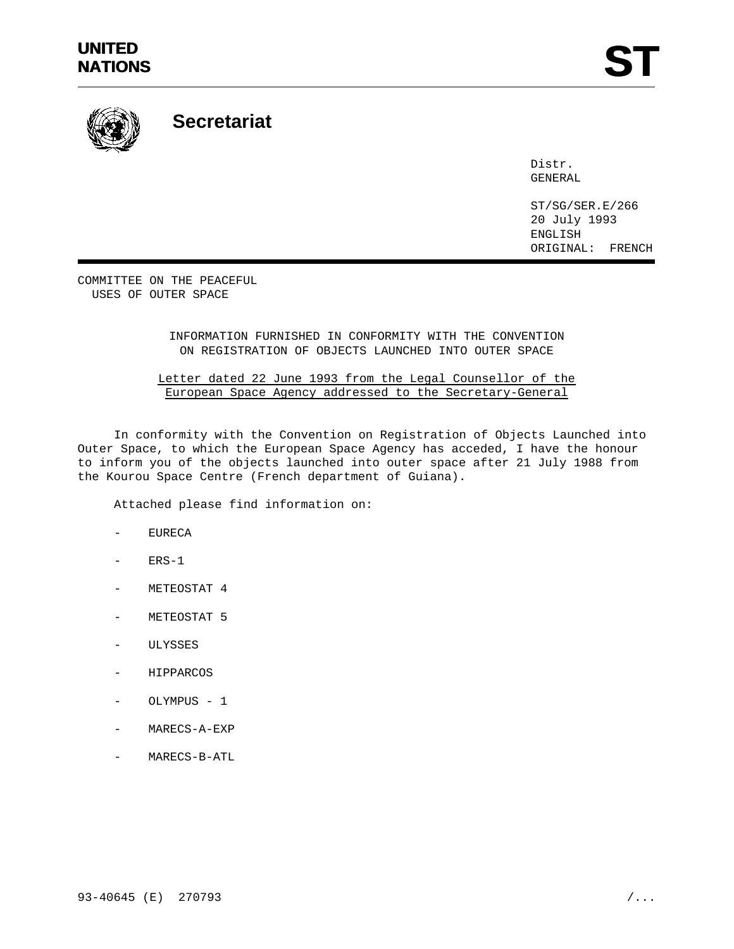# **UNITED** UNITED<br>NATIONS **ST**



**Secretariat**

Distr. GENERAL

ST/SG/SER.E/266 20 July 1993 ENGLISH ORIGINAL: FRENCH

COMMITTEE ON THE PEACEFUL USES OF OUTER SPACE

## INFORMATION FURNISHED IN CONFORMITY WITH THE CONVENTION ON REGISTRATION OF OBJECTS LAUNCHED INTO OUTER SPACE

## Letter dated 22 June 1993 from the Legal Counsellor of the European Space Agency addressed to the Secretary-General

In conformity with the Convention on Registration of Objects Launched into Outer Space, to which the European Space Agency has acceded, I have the honour to inform you of the objects launched into outer space after 21 July 1988 from the Kourou Space Centre (French department of Guiana).

Attached please find information on:

- **EURECA**
- $ERS-1$
- METEOSTAT 4
- METEOSTAT 5
- ULYSSES
- HIPPARCOS
- OLYMPUS 1
- MARECS-A-EXP
- MARECS-B-ATL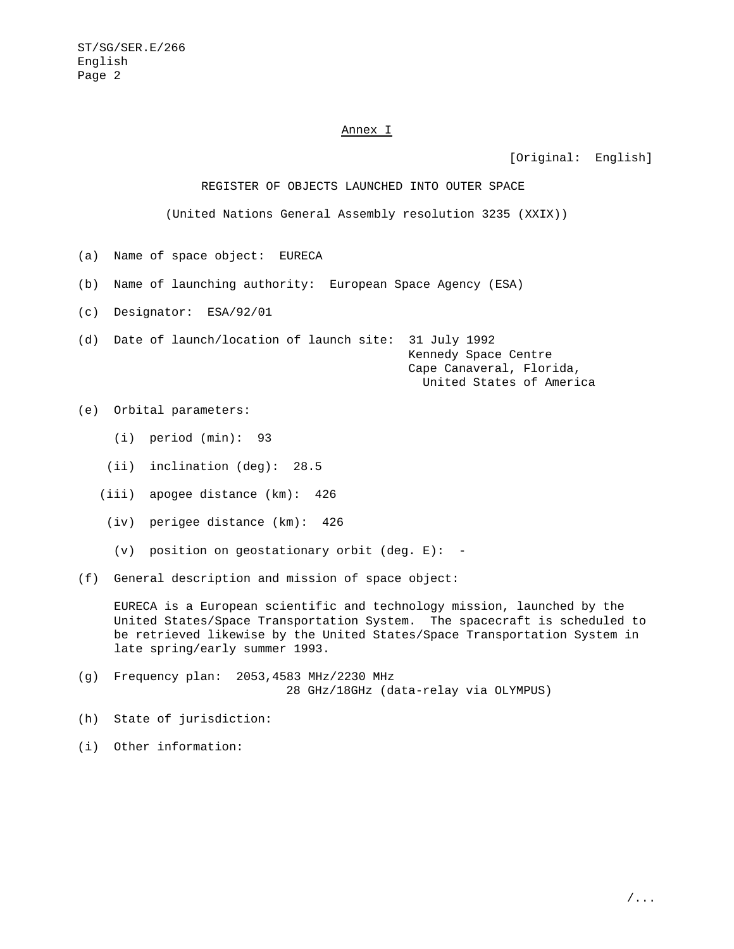### Annex I

[Original: English]

REGISTER OF OBJECTS LAUNCHED INTO OUTER SPACE

(United Nations General Assembly resolution 3235 (XXIX))

- (a) Name of space object: EURECA
- (b) Name of launching authority: European Space Agency (ESA)
- (c) Designator: ESA/92/01

(d) Date of launch/location of launch site: 31 July 1992

Kennedy Space Centre Cape Canaveral, Florida, United States of America

(e) Orbital parameters:

- (i) period (min): 93
- (ii) inclination (deg): 28.5
- (iii) apogee distance (km): 426
- (iv) perigee distance (km): 426
- (v) position on geostationary orbit (deg. E): -

(f) General description and mission of space object:

EURECA is a European scientific and technology mission, launched by the United States/Space Transportation System. The spacecraft is scheduled to be retrieved likewise by the United States/Space Transportation System in late spring/early summer 1993.

- (g) Frequency plan: 2053,4583 MHz/2230 MHz 28 GHz/18GHz (data-relay via OLYMPUS)
- (h) State of jurisdiction:
- (i) Other information: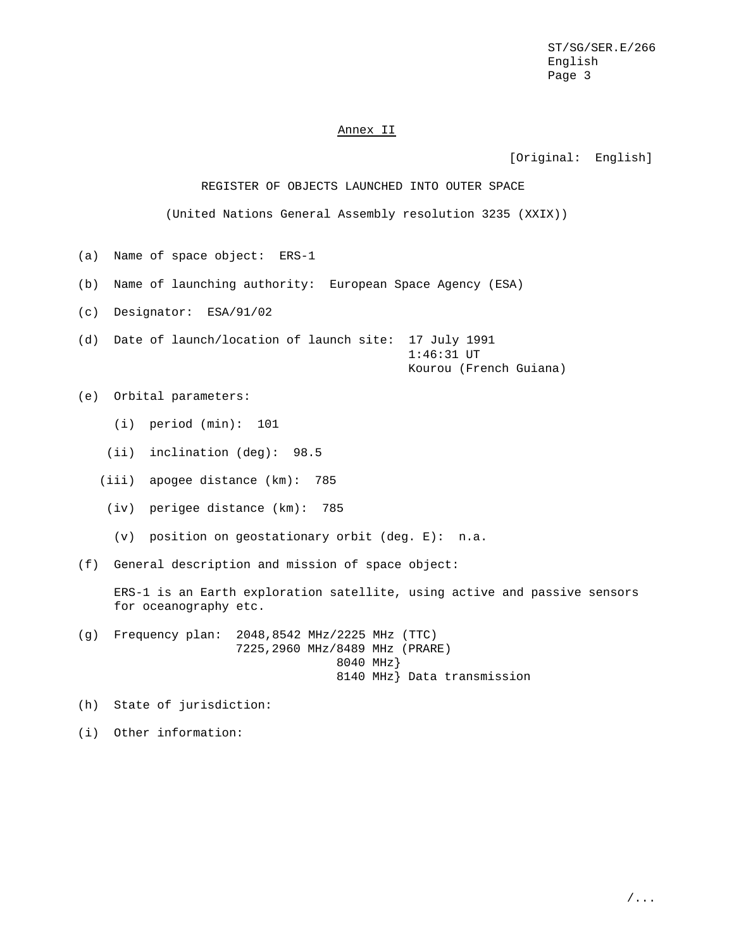#### Annex II

[Original: English]

REGISTER OF OBJECTS LAUNCHED INTO OUTER SPACE

(United Nations General Assembly resolution 3235 (XXIX))

- (a) Name of space object: ERS-1
- (b) Name of launching authority: European Space Agency (ESA)
- (c) Designator: ESA/91/02
- (d) Date of launch/location of launch site: 17 July 1991 1:46:31 UT Kourou (French Guiana)

(e) Orbital parameters:

- (i) period (min): 101
- (ii) inclination (deg): 98.5
- (iii) apogee distance (km): 785
- (iv) perigee distance (km): 785
- (v) position on geostationary orbit (deg. E): n.a.
- (f) General description and mission of space object:

ERS-1 is an Earth exploration satellite, using active and passive sensors for oceanography etc.

- (g) Frequency plan: 2048,8542 MHz/2225 MHz (TTC) 7225,2960 MHz/8489 MHz (PRARE) 8040 MHz} 8140 MHz} Data transmission
- (h) State of jurisdiction:
- (i) Other information: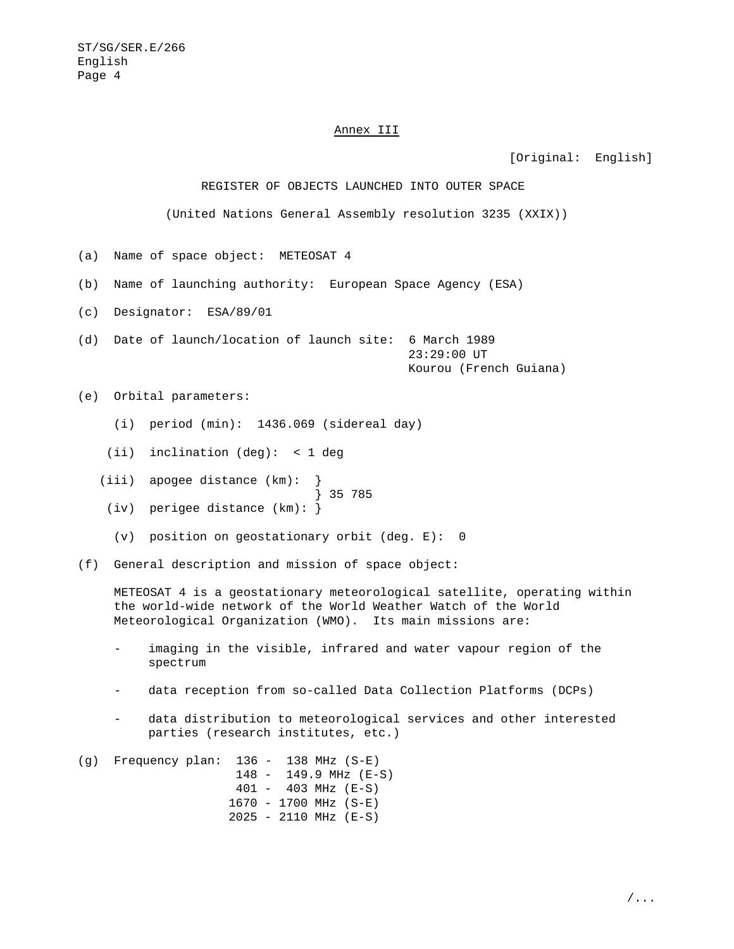#### Annex III

[Original: English]

REGISTER OF OBJECTS LAUNCHED INTO OUTER SPACE

(United Nations General Assembly resolution 3235 (XXIX))

- (a) Name of space object: METEOSAT 4
- (b) Name of launching authority: European Space Agency (ESA)
- (c) Designator: ESA/89/01
- (d) Date of launch/location of launch site: 6 March 1989 23:29:00 UT Kourou (French Guiana)

(e) Orbital parameters:

- (i) period (min): 1436.069 (sidereal day)
- (ii) inclination (deg): < 1 deg
- (iii) apogee distance (km):
- } 35 785 (iv) perigee distance (km): }
- (v) position on geostationary orbit (deg. E): 0
- (f) General description and mission of space object:

METEOSAT 4 is a geostationary meteorological satellite, operating within the world-wide network of the World Weather Watch of the World Meteorological Organization (WMO). Its main missions are:

- imaging in the visible, infrared and water vapour region of the spectrum
- data reception from so-called Data Collection Platforms (DCPs)
- data distribution to meteorological services and other interested parties (research institutes, etc.)

(g) Frequency plan: 136 - 138 MHz (S-E) 148 - 149.9 MHz (E-S) 401 - 403 MHz (E-S) 1670 - 1700 MHz (S-E) 2025 - 2110 MHz (E-S)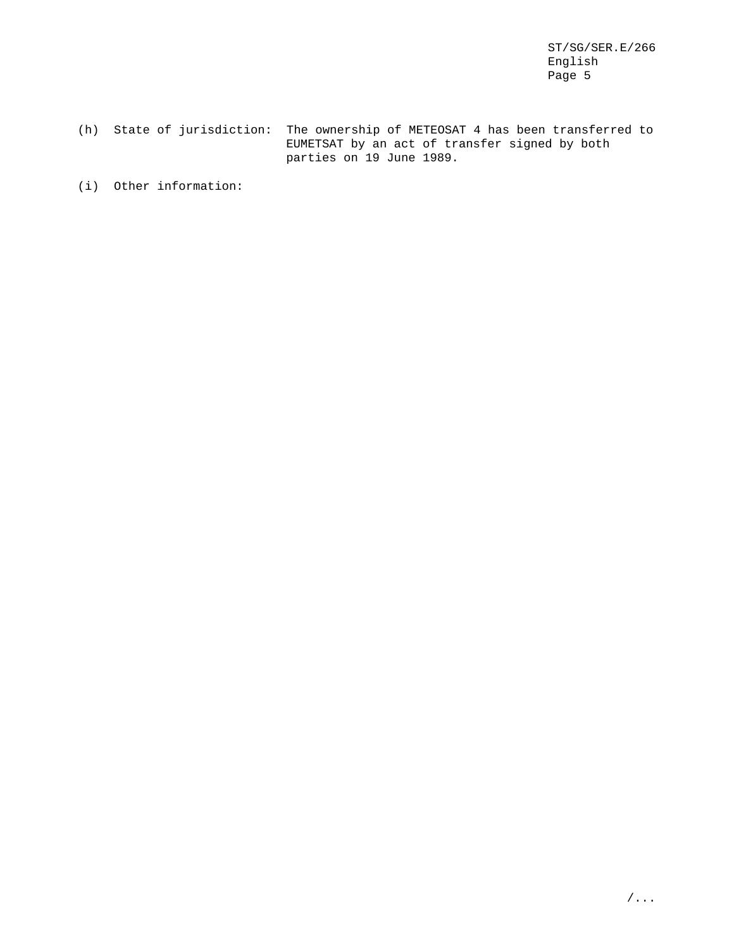(h) State of jurisdiction: The ownership of METEOSAT 4 has been transferred to EUMETSAT by an act of transfer signed by both parties on 19 June 1989.

(i) Other information: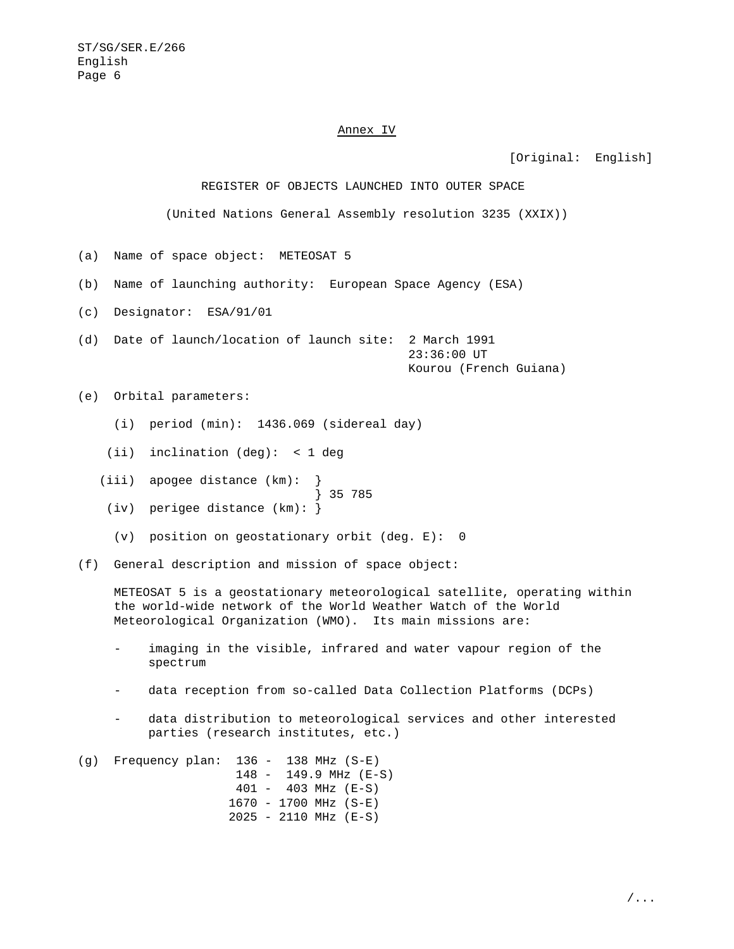### Annex IV

[Original: English]

REGISTER OF OBJECTS LAUNCHED INTO OUTER SPACE

(United Nations General Assembly resolution 3235 (XXIX))

- (a) Name of space object: METEOSAT 5
- (b) Name of launching authority: European Space Agency (ESA)
- (c) Designator: ESA/91/01
- (d) Date of launch/location of launch site: 2 March 1991 23:36:00 UT Kourou (French Guiana)

(e) Orbital parameters:

- (i) period (min): 1436.069 (sidereal day)
- (ii) inclination (deg): < 1 deg
- (iii) apogee distance (km):
- } 35 785 (iv) perigee distance (km): }
- (v) position on geostationary orbit (deg. E): 0
- (f) General description and mission of space object:

METEOSAT 5 is a geostationary meteorological satellite, operating within the world-wide network of the World Weather Watch of the World Meteorological Organization (WMO). Its main missions are:

- imaging in the visible, infrared and water vapour region of the spectrum
- data reception from so-called Data Collection Platforms (DCPs)
- data distribution to meteorological services and other interested parties (research institutes, etc.)

(g) Frequency plan: 136 - 138 MHz (S-E) 148 - 149.9 MHz (E-S) 401 - 403 MHz (E-S) 1670 - 1700 MHz (S-E) 2025 - 2110 MHz (E-S)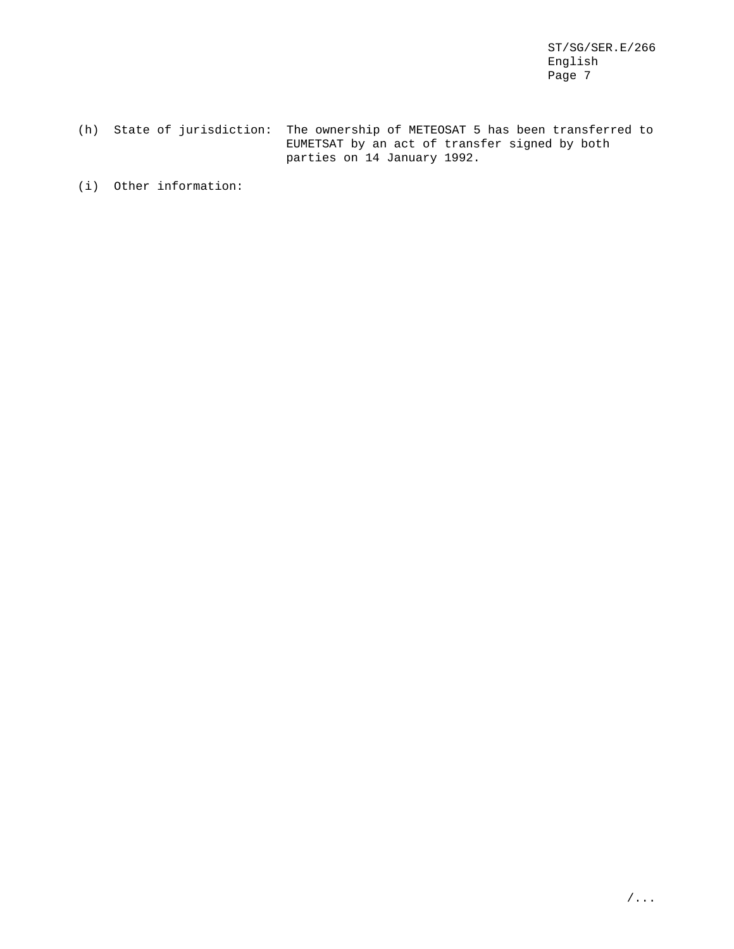(h) State of jurisdiction: The ownership of METEOSAT 5 has been transferred to EUMETSAT by an act of transfer signed by both parties on 14 January 1992.

(i) Other information: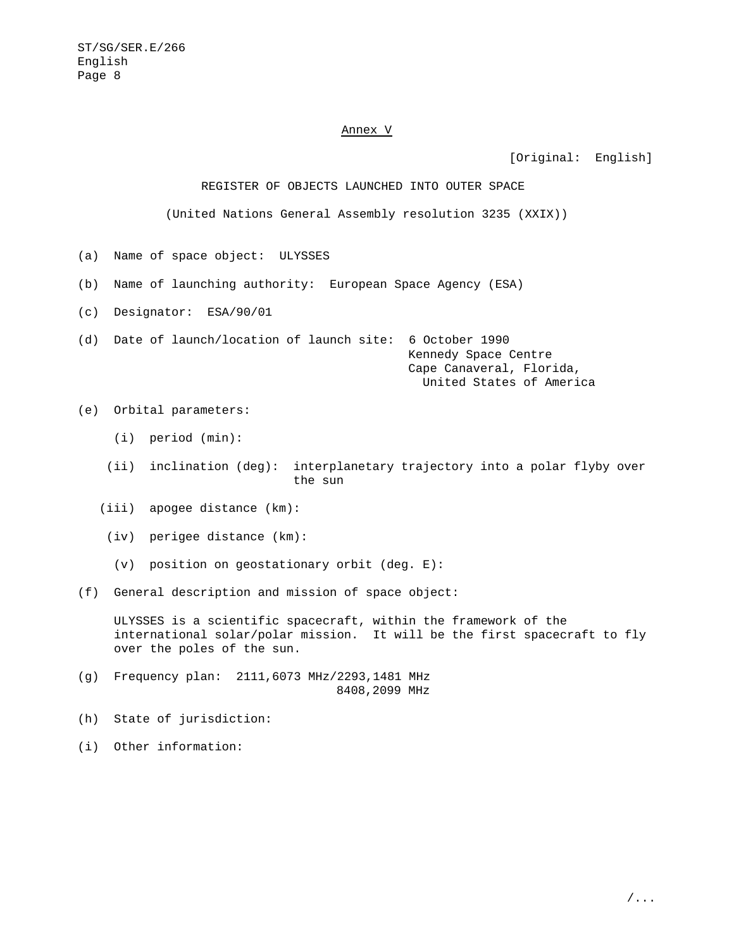#### Annex V

[Original: English]

REGISTER OF OBJECTS LAUNCHED INTO OUTER SPACE

(United Nations General Assembly resolution 3235 (XXIX))

- (a) Name of space object: ULYSSES
- (b) Name of launching authority: European Space Agency (ESA)
- (c) Designator: ESA/90/01

(d) Date of launch/location of launch site: 6 October 1990

Kennedy Space Centre Cape Canaveral, Florida, United States of America

- (e) Orbital parameters:
	- (i) period (min):
	- (ii) inclination (deg): interplanetary trajectory into a polar flyby over the sun
	- (iii) apogee distance (km):
	- (iv) perigee distance (km):
	- (v) position on geostationary orbit (deg. E):
- (f) General description and mission of space object:

ULYSSES is a scientific spacecraft, within the framework of the international solar/polar mission. It will be the first spacecraft to fly over the poles of the sun.

- (g) Frequency plan: 2111,6073 MHz/2293,1481 MHz 8408,2099 MHz
- (h) State of jurisdiction:
- (i) Other information: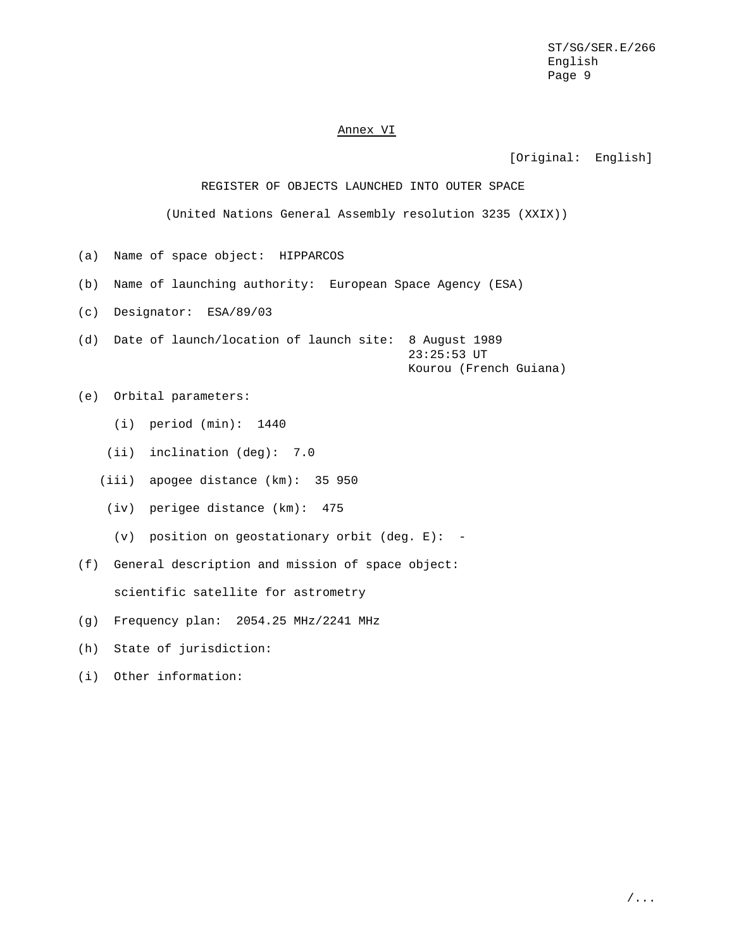### Annex VI

[Original: English]

REGISTER OF OBJECTS LAUNCHED INTO OUTER SPACE

(United Nations General Assembly resolution 3235 (XXIX))

- (a) Name of space object: HIPPARCOS
- (b) Name of launching authority: European Space Agency (ESA)
- (c) Designator: ESA/89/03
- (d) Date of launch/location of launch site: 8 August 1989 23:25:53 UT Kourou (French Guiana)
- (e) Orbital parameters:
	- (i) period (min): 1440
	- (ii) inclination (deg): 7.0
	- (iii) apogee distance (km): 35 950
	- (iv) perigee distance (km): 475
		- (v) position on geostationary orbit (deg.  $E$ ): -
- (f) General description and mission of space object:

scientific satellite for astrometry

- (g) Frequency plan: 2054.25 MHz/2241 MHz
- (h) State of jurisdiction:
- (i) Other information: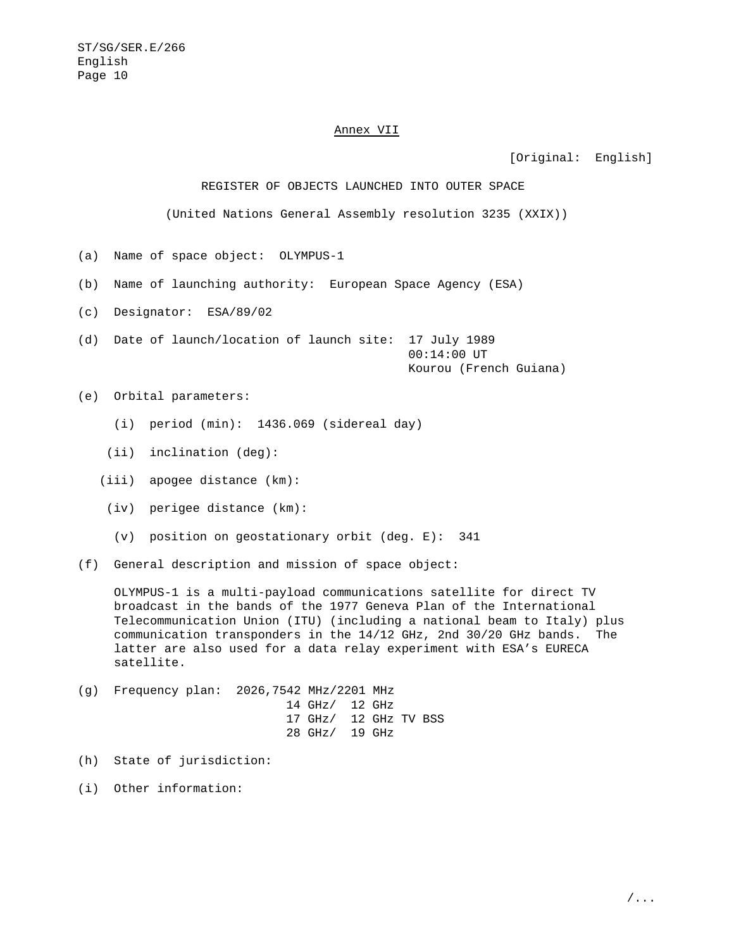#### Annex VII

[Original: English]

REGISTER OF OBJECTS LAUNCHED INTO OUTER SPACE

(United Nations General Assembly resolution 3235 (XXIX))

- (a) Name of space object: OLYMPUS-1
- (b) Name of launching authority: European Space Agency (ESA)
- (c) Designator: ESA/89/02
- (d) Date of launch/location of launch site: 17 July 1989 00:14:00 UT Kourou (French Guiana)

(e) Orbital parameters:

- (i) period (min): 1436.069 (sidereal day)
- (ii) inclination (deg):
- (iii) apogee distance (km):
- (iv) perigee distance (km):
- (v) position on geostationary orbit (deg. E): 341
- (f) General description and mission of space object:

OLYMPUS-1 is a multi-payload communications satellite for direct TV broadcast in the bands of the 1977 Geneva Plan of the International Telecommunication Union (ITU) (including a national beam to Italy) plus communication transponders in the 14/12 GHz, 2nd 30/20 GHz bands. The latter are also used for a data relay experiment with ESA's EURECA satellite.

- (g) Frequency plan: 2026,7542 MHz/2201 MHz 14 GHz/ 12 GHz 17 GHz/ 12 GHz TV BSS 28 GHz/ 19 GHz
- (h) State of jurisdiction:
- (i) Other information: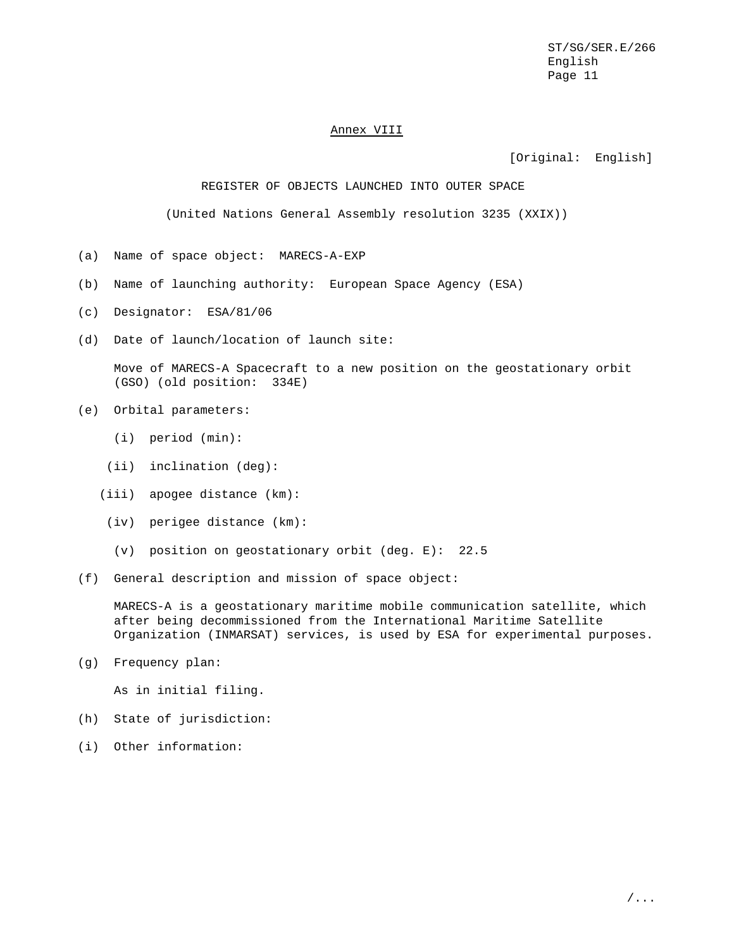#### Annex VIII

[Original: English]

#### REGISTER OF OBJECTS LAUNCHED INTO OUTER SPACE

(United Nations General Assembly resolution 3235 (XXIX))

- (a) Name of space object: MARECS-A-EXP
- (b) Name of launching authority: European Space Agency (ESA)
- (c) Designator: ESA/81/06
- (d) Date of launch/location of launch site:

Move of MARECS-A Spacecraft to a new position on the geostationary orbit (GSO) (old position: 334E)

- (e) Orbital parameters:
	- (i) period (min):
	- (ii) inclination (deg):
	- (iii) apogee distance (km):
	- (iv) perigee distance (km):
	- (v) position on geostationary orbit (deg. E): 22.5
- (f) General description and mission of space object:

MARECS-A is a geostationary maritime mobile communication satellite, which after being decommissioned from the International Maritime Satellite Organization (INMARSAT) services, is used by ESA for experimental purposes.

(g) Frequency plan:

As in initial filing.

- (h) State of jurisdiction:
- (i) Other information: